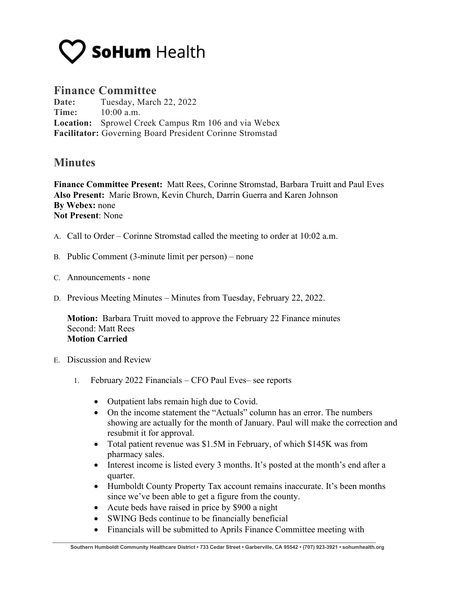

## **Finance Committee**

**Date:** Tuesday, March 22, 2022 **Time:** 10:00 a.m. **Location:** Sprowel Creek Campus Rm 106 and via Webex **Facilitator:** Governing Board President Corinne Stromstad

## **Minutes**

**Finance Committee Present:** Matt Rees, Corinne Stromstad, Barbara Truitt and Paul Eves **Also Present:** Marie Brown, Kevin Church, Darrin Guerra and Karen Johnson **By Webex:** none **Not Present**: None

- A. Call to Order Corinne Stromstad called the meeting to order at 10:02 a.m.
- B. Public Comment (3-minute limit per person) none
- C. Announcements none
- D. Previous Meeting Minutes Minutes from Tuesday, February 22, 2022.

**Motion:** Barbara Truitt moved to approve the February 22 Finance minutes Second: Matt Rees **Motion Carried**

- E. Discussion and Review
	- 1. February 2022 Financials CFO Paul Eves– see reports
		- Outpatient labs remain high due to Covid.
		- On the income statement the "Actuals" column has an error. The numbers showing are actually for the month of January. Paul will make the correction and resubmit it for approval.
		- Total patient revenue was \$1.5M in February, of which \$145K was from pharmacy sales.
		- Interest income is listed every 3 months. It's posted at the month's end after a quarter.
		- Humboldt County Property Tax account remains inaccurate. It's been months since we've been able to get a figure from the county.
		- Acute beds have raised in price by \$900 a night
		- SWING Beds continue to be financially beneficial
		- Financials will be submitted to Aprils Finance Committee meeting with